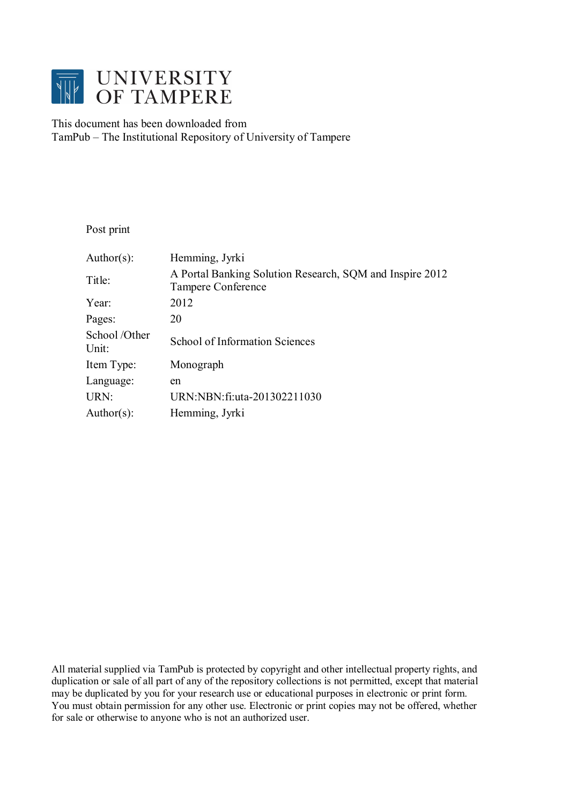

### This document has been downloaded from TamPub – The Institutional Repository of University of Tampere

Post print

| Author(s):            | Hemming, Jyrki                                                                        |
|-----------------------|---------------------------------------------------------------------------------------|
| Title:                | A Portal Banking Solution Research, SQM and Inspire 2012<br><b>Tampere Conference</b> |
| Year:                 | 2012                                                                                  |
| Pages:                | 20                                                                                    |
| School/Other<br>Unit: | <b>School of Information Sciences</b>                                                 |
| Item Type:            | Monograph                                                                             |
| Language:             | en                                                                                    |
| URN:                  | URN:NBN:fi:uta-201302211030                                                           |
| Author(s):            | Hemming, Jyrki                                                                        |

All material supplied via TamPub is protected by copyright and other intellectual property rights, and duplication or sale of all part of any of the repository collections is not permitted, except that material may be duplicated by you for your research use or educational purposes in electronic or print form. You must obtain permission for any other use. Electronic or print copies may not be offered, whether for sale or otherwise to anyone who is not an authorized user.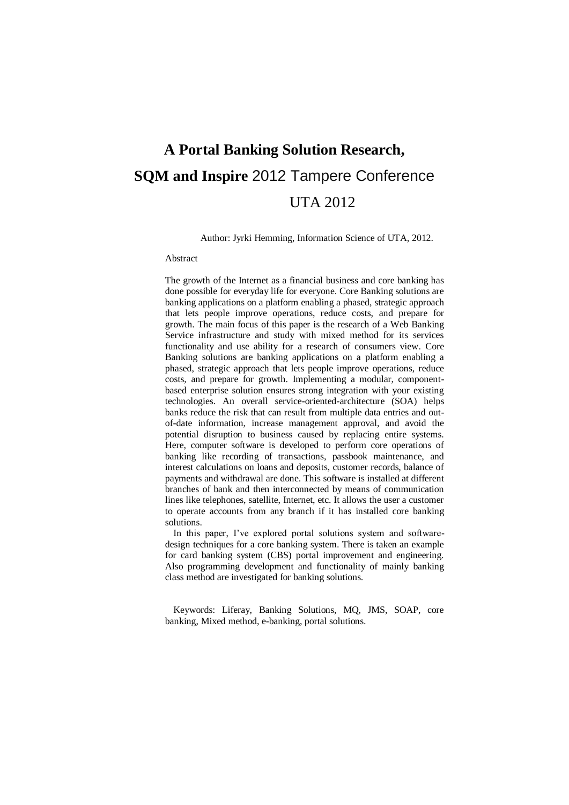# **A Portal Banking Solution Research, SQM and Inspire** 2012 Tampere Conference UTA 2012

Author: Jyrki Hemming, Information Science of UTA, 2012.

#### Abstract

The growth of the Internet as a financial business and core banking has done possible for everyday life for everyone. Core Banking solutions are banking applications on a platform enabling a phased, strategic approach that lets people improve operations, reduce costs, and prepare for growth. The main focus of this paper is the research of a Web Banking Service infrastructure and study with mixed method for its services functionality and use ability for a research of consumers view. Core Banking solutions are banking applications on a platform enabling a phased, strategic approach that lets people improve operations, reduce costs, and prepare for growth. Implementing a modular, componentbased enterprise solution ensures strong integration with your existing technologies. An overall service-oriented-architecture (SOA) helps banks reduce the risk that can result from multiple data entries and outof-date information, increase management approval, and avoid the potential disruption to business caused by replacing entire systems. Here, computer software is developed to perform core operations of banking like recording of transactions, passbook maintenance, and interest calculations on loans and deposits, customer records, balance of payments and withdrawal are done. This software is installed at different branches of bank and then interconnected by means of communication lines like telephones, satellite, Internet, etc. It allows the user a customer to operate accounts from any branch if it has installed core banking solutions.

In this paper, I've explored portal solutions system and softwaredesign techniques for a core banking system. There is taken an example for card banking system (CBS) portal improvement and engineering. Also programming development and functionality of mainly banking class method are investigated for banking solutions.

Keywords: Liferay, Banking Solutions, MQ, JMS, SOAP, core banking, Mixed method, e-banking, portal solutions.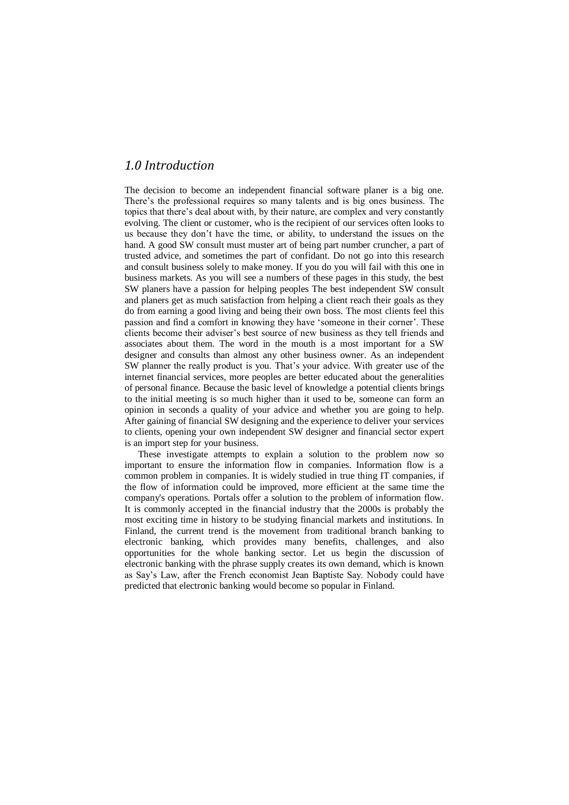### *1.0 Introduction*

The decision to become an independent financial software planer is a big one. There's the professional requires so many talents and is big ones business. The topics that there's deal about with, by their nature, are complex and very constantly evolving. The client or customer, who is the recipient of our services often looks to us because they don't have the time, or ability, to understand the issues on the hand. A good SW consult must muster art of being part number cruncher, a part of trusted advice, and sometimes the part of confidant. Do not go into this research and consult business solely to make money. If you do you will fail with this one in business markets. As you will see a numbers of these pages in this study, the best SW planers have a passion for helping peoples The best independent SW consult and planers get as much satisfaction from helping a client reach their goals as they do from earning a good living and being their own boss. The most clients feel this passion and find a comfort in knowing they have ‗someone in their corner'. These clients become their adviser's best source of new business as they tell friends and associates about them. The word in the mouth is a most important for a SW designer and consults than almost any other business owner. As an independent SW planner the really product is you. That's your advice. With greater use of the internet financial services, more peoples are better educated about the generalities of personal finance. Because the basic level of knowledge a potential clients brings to the initial meeting is so much higher than it used to be, someone can form an opinion in seconds a quality of your advice and whether you are going to help. After gaining of financial SW designing and the experience to deliver your services to clients, opening your own independent SW designer and financial sector expert is an import step for your business.

These investigate attempts to explain a solution to the problem now so important to ensure the information flow in companies. Information flow is a common problem in companies. It is widely studied in true thing IT companies, if the flow of information could be improved, more efficient at the same time the company's operations. Portals offer a solution to the problem of information flow. It is commonly accepted in the financial industry that the 2000s is probably the most exciting time in history to be studying financial markets and institutions. In Finland, the current trend is the movement from traditional branch banking to electronic banking, which provides many benefits, challenges, and also opportunities for the whole banking sector. Let us begin the discussion of electronic banking with the phrase supply creates its own demand, which is known as Say's Law, after the French economist Jean Baptiste Say. Nobody could have predicted that electronic banking would become so popular in Finland.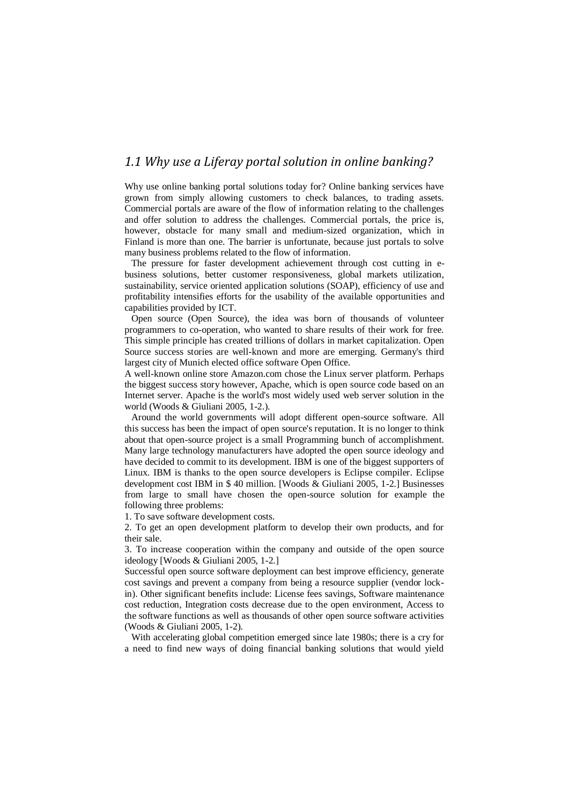### *1.1 Why use a Liferay portal solution in online banking?*

Why use online banking portal solutions today for? Online banking services have grown from simply allowing customers to check balances, to trading assets. Commercial portals are aware of the flow of information relating to the challenges and offer solution to address the challenges. Commercial portals, the price is, however, obstacle for many small and medium-sized organization, which in Finland is more than one. The barrier is unfortunate, because just portals to solve many business problems related to the flow of information.

The pressure for faster development achievement through cost cutting in ebusiness solutions, better customer responsiveness, global markets utilization, sustainability, service oriented application solutions (SOAP), efficiency of use and profitability intensifies efforts for the usability of the available opportunities and capabilities provided by ICT.

Open source (Open Source), the idea was born of thousands of volunteer programmers to co-operation, who wanted to share results of their work for free. This simple principle has created trillions of dollars in market capitalization. Open Source success stories are well-known and more are emerging. Germany's third largest city of Munich elected office software Open Office.

A well-known online store Amazon.com chose the Linux server platform. Perhaps the biggest success story however, Apache, which is open source code based on an Internet server. Apache is the world's most widely used web server solution in the world (Woods & Giuliani 2005, 1-2.).

Around the world governments will adopt different open-source software. All this success has been the impact of open source's reputation. It is no longer to think about that open-source project is a small Programming bunch of accomplishment. Many large technology manufacturers have adopted the open source ideology and have decided to commit to its development. IBM is one of the biggest supporters of Linux. IBM is thanks to the open source developers is Eclipse compiler. Eclipse development cost IBM in \$ 40 million. [Woods & Giuliani 2005, 1-2.] Businesses from large to small have chosen the open-source solution for example the following three problems:

1. To save software development costs.

2. To get an open development platform to develop their own products, and for their sale.

3. To increase cooperation within the company and outside of the open source ideology [Woods & Giuliani 2005, 1-2.]

Successful open source software deployment can best improve efficiency, generate cost savings and prevent a company from being a resource supplier (vendor lockin). Other significant benefits include: License fees savings, Software maintenance cost reduction, Integration costs decrease due to the open environment, Access to the software functions as well as thousands of other open source software activities (Woods & Giuliani 2005, 1-2).

With accelerating global competition emerged since late 1980s; there is a cry for a need to find new ways of doing financial banking solutions that would yield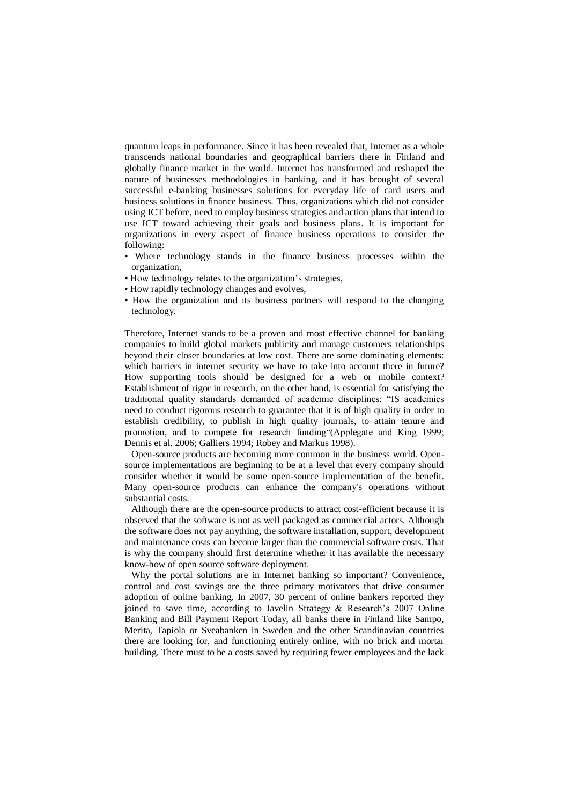quantum leaps in performance. Since it has been revealed that, Internet as a whole transcends national boundaries and geographical barriers there in Finland and globally finance market in the world. Internet has transformed and reshaped the nature of businesses methodologies in banking, and it has brought of several successful e-banking businesses solutions for everyday life of card users and business solutions in finance business. Thus, organizations which did not consider using ICT before, need to employ business strategies and action plans that intend to use ICT toward achieving their goals and business plans. It is important for organizations in every aspect of finance business operations to consider the following:

- Where technology stands in the finance business processes within the organization,
- How technology relates to the organization's strategies,
- How rapidly technology changes and evolves,
- How the organization and its business partners will respond to the changing technology.

Therefore, Internet stands to be a proven and most effective channel for banking companies to build global markets publicity and manage customers relationships beyond their closer boundaries at low cost. There are some dominating elements: which barriers in internet security we have to take into account there in future? How supporting tools should be designed for a web or mobile context? Establishment of rigor in research, on the other hand, is essential for satisfying the traditional quality standards demanded of academic disciplines: "IS academics need to conduct rigorous research to guarantee that it is of high quality in order to establish credibility, to publish in high quality journals, to attain tenure and promotion, and to compete for research funding "(Applegate and King 1999; Dennis et al. 2006; Galliers 1994; Robey and Markus 1998).

Open-source products are becoming more common in the business world. Opensource implementations are beginning to be at a level that every company should consider whether it would be some open-source implementation of the benefit. Many open-source products can enhance the company's operations without substantial costs.

Although there are the open-source products to attract cost-efficient because it is observed that the software is not as well packaged as commercial actors. Although the software does not pay anything, the software installation, support, development and maintenance costs can become larger than the commercial software costs. That is why the company should first determine whether it has available the necessary know-how of open source software deployment.

Why the portal solutions are in Internet banking so important? Convenience, control and cost savings are the three primary motivators that drive consumer adoption of online banking. In 2007, 30 percent of online bankers reported they joined to save time, according to Javelin Strategy & Research's 2007 Online Banking and Bill Payment Report Today, all banks there in Finland like Sampo, Merita, Tapiola or Sveabanken in Sweden and the other Scandinavian countries there are looking for, and functioning entirely online, with no brick and mortar building. There must to be a costs saved by requiring fewer employees and the lack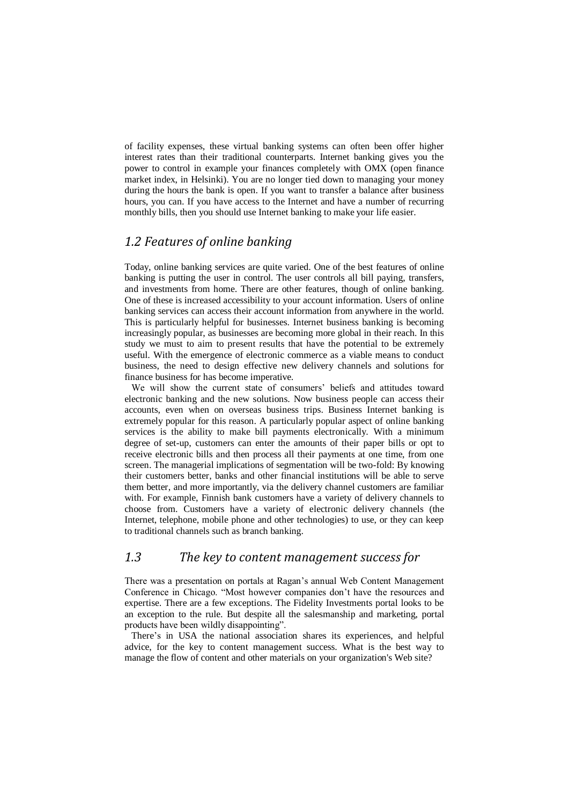of facility expenses, these virtual banking systems can often been offer higher interest rates than their traditional counterparts. Internet banking gives you the power to control in example your finances completely with OMX (open finance market index, in Helsinki). You are no longer tied down to managing your money during the hours the bank is open. If you want to transfer a balance after business hours, you can. If you have access to the Internet and have a number of recurring monthly bills, then you should use Internet banking to make your life easier.

### *1.2 Features of online banking*

Today, online banking services are quite varied. One of the best features of online banking is putting the user in control. The user controls all bill paying, transfers, and investments from home. There are other features, though of online banking. One of these is increased accessibility to your account information. Users of online banking services can access their account information from anywhere in the world. This is particularly helpful for businesses. Internet business banking is becoming increasingly popular, as businesses are becoming more global in their reach. In this study we must to aim to present results that have the potential to be extremely useful. With the emergence of electronic commerce as a viable means to conduct business, the need to design effective new delivery channels and solutions for finance business for has become imperative.

We will show the current state of consumers' beliefs and attitudes toward electronic banking and the new solutions. Now business people can access their accounts, even when on overseas business trips. Business Internet banking is extremely popular for this reason. A particularly popular aspect of online banking services is the ability to make bill payments electronically. With a minimum degree of set-up, customers can enter the amounts of their paper bills or opt to receive electronic bills and then process all their payments at one time, from one screen. The managerial implications of segmentation will be two-fold: By knowing their customers better, banks and other financial institutions will be able to serve them better, and more importantly, via the delivery channel customers are familiar with. For example, Finnish bank customers have a variety of delivery channels to choose from. Customers have a variety of electronic delivery channels (the Internet, telephone, mobile phone and other technologies) to use, or they can keep to traditional channels such as branch banking.

### *1.3 The key to content management success for*

There was a presentation on portals at Ragan's annual Web Content Management Conference in Chicago. "Most however companies don't have the resources and expertise. There are a few exceptions. The Fidelity Investments portal looks to be an exception to the rule. But despite all the salesmanship and marketing, portal products have been wildly disappointing".

There's in USA the national association shares its experiences, and helpful advice, for the key to content management success. What is the best way to manage the flow of content and other materials on your organization's Web site?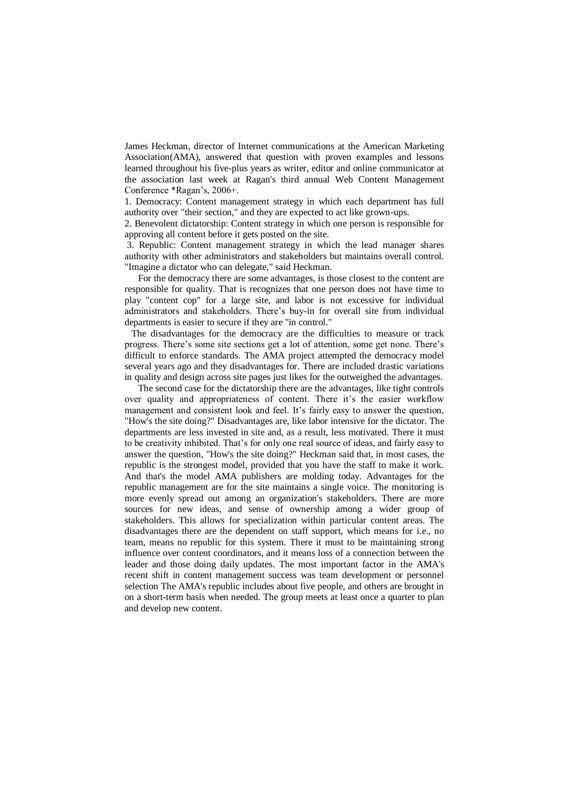James Heckman, director of Internet communications at the American Marketing Association(AMA), answered that question with proven examples and lessons learned throughout his five-plus years as writer, editor and online communicator at the association last week at Ragan's third annual Web Content Management Conference \*Ragan's, 2006+.

1. Democracy: Content management strategy in which each department has full authority over "their section," and they are expected to act like grown-ups.

2. Benevolent dictatorship: Content strategy in which one person is responsible for approving all content before it gets posted on the site.

3. Republic: Content management strategy in which the lead manager shares authority with other administrators and stakeholders but maintains overall control. "Imagine a dictator who can delegate," said Heckman.

For the democracy there are some advantages, is those closest to the content are responsible for quality. That is recognizes that one person does not have time to play "content cop" for a large site, and labor is not excessive for individual administrators and stakeholders. There's buy-in for overall site from individual departments is easier to secure if they are "in control."

The disadvantages for the democracy are the difficulties to measure or track progress. There's some site sections get a lot of attention, some get none. There's difficult to enforce standards. The AMA project attempted the democracy model several years ago and they disadvantages for. There are included drastic variations in quality and design across site pages just likes for the outweighed the advantages.

The second case for the dictatorship there are the advantages, like tight controls over quality and appropriateness of content. There it's the easier workflow management and consistent look and feel. It's fairly easy to answer the question, "How's the site doing?" Disadvantages are, like labor intensive for the dictator. The departments are less invested in site and, as a result, less motivated. There it must to be creativity inhibited. That's for only one real source of ideas, and fairly easy to answer the question, "How's the site doing?" Heckman said that, in most cases, the republic is the strongest model, provided that you have the staff to make it work. And that's the model AMA publishers are molding today. Advantages for the republic management are for the site maintains a single voice. The monitoring is more evenly spread out among an organization's stakeholders. There are more sources for new ideas, and sense of ownership among a wider group of stakeholders. This allows for specialization within particular content areas. The disadvantages there are the dependent on staff support, which means for i.e., no team, means no republic for this system. There it must to be maintaining strong influence over content coordinators, and it means loss of a connection between the leader and those doing daily updates. The most important factor in the AMA's recent shift in content management success was team development or personnel selection The AMA's republic includes about five people, and others are brought in on a short-term basis when needed. The group meets at least once a quarter to plan and develop new content.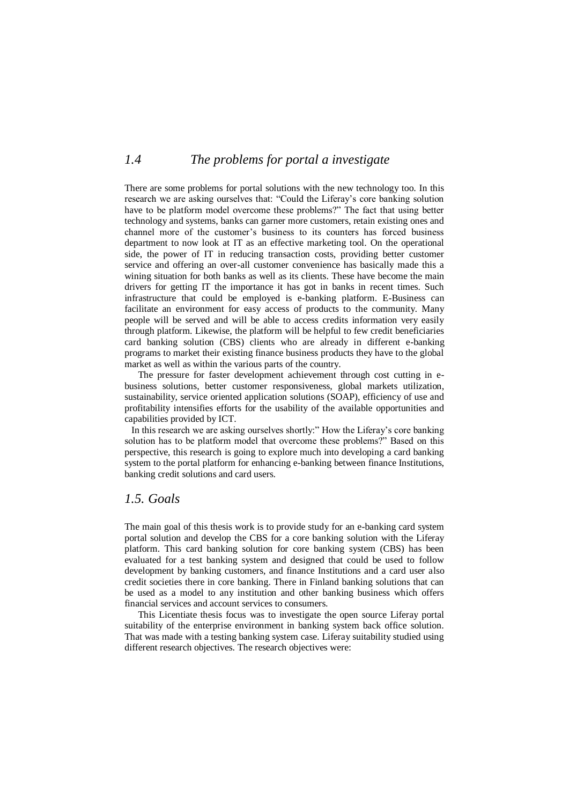### *1.4 The problems for portal a investigate*

There are some problems for portal solutions with the new technology too. In this research we are asking ourselves that: "Could the Liferay's core banking solution have to be platform model overcome these problems?" The fact that using better technology and systems, banks can garner more customers, retain existing ones and channel more of the customer's business to its counters has forced business department to now look at IT as an effective marketing tool. On the operational side, the power of IT in reducing transaction costs, providing better customer service and offering an over-all customer convenience has basically made this a wining situation for both banks as well as its clients. These have become the main drivers for getting IT the importance it has got in banks in recent times. Such infrastructure that could be employed is e-banking platform. E-Business can facilitate an environment for easy access of products to the community. Many people will be served and will be able to access credits information very easily through platform. Likewise, the platform will be helpful to few credit beneficiaries card banking solution (CBS) clients who are already in different e-banking programs to market their existing finance business products they have to the global market as well as within the various parts of the country.

The pressure for faster development achievement through cost cutting in ebusiness solutions, better customer responsiveness, global markets utilization, sustainability, service oriented application solutions (SOAP), efficiency of use and profitability intensifies efforts for the usability of the available opportunities and capabilities provided by ICT.

In this research we are asking ourselves shortly:" How the Liferay's core banking solution has to be platform model that overcome these problems?" Based on this perspective, this research is going to explore much into developing a card banking system to the portal platform for enhancing e-banking between finance Institutions, banking credit solutions and card users.

### *1.5. Goals*

The main goal of this thesis work is to provide study for an e-banking card system portal solution and develop the CBS for a core banking solution with the Liferay platform. This card banking solution for core banking system (CBS) has been evaluated for a test banking system and designed that could be used to follow development by banking customers, and finance Institutions and a card user also credit societies there in core banking. There in Finland banking solutions that can be used as a model to any institution and other banking business which offers financial services and account services to consumers.

This Licentiate thesis focus was to investigate the open source Liferay portal suitability of the enterprise environment in banking system back office solution. That was made with a testing banking system case. Liferay suitability studied using different research objectives. The research objectives were: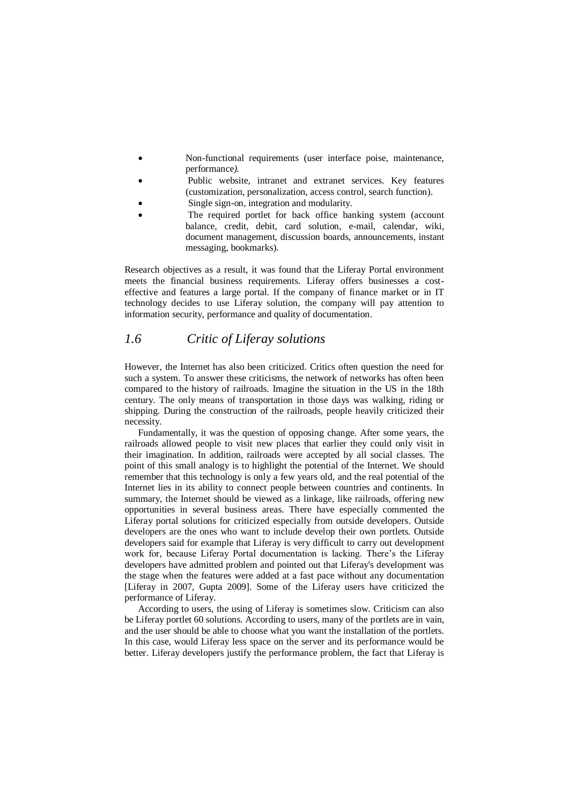- Non-functional requirements (user interface poise, maintenance, performance*).*
- Public website, intranet and extranet services. Key features (customization, personalization, access control, search function).
- Single sign-on, integration and modularity.
- The required portlet for back office banking system (account balance, credit, debit, card solution, e-mail, calendar, wiki, document management, discussion boards, announcements, instant messaging, bookmarks).

Research objectives as a result, it was found that the Liferay Portal environment meets the financial business requirements. Liferay offers businesses a costeffective and features a large portal. If the company of finance market or in IT technology decides to use Liferay solution, the company will pay attention to information security, performance and quality of documentation.

### *1.6 Critic of Liferay solutions*

However, the Internet has also been criticized. Critics often question the need for such a system. To answer these criticisms, the network of networks has often been compared to the history of railroads. Imagine the situation in the US in the 18th century. The only means of transportation in those days was walking, riding or shipping. During the construction of the railroads, people heavily criticized their necessity.

Fundamentally, it was the question of opposing change. After some years, the railroads allowed people to visit new places that earlier they could only visit in their imagination. In addition, railroads were accepted by all social classes. The point of this small analogy is to highlight the potential of the Internet. We should remember that this technology is only a few years old, and the real potential of the Internet lies in its ability to connect people between countries and continents. In summary, the Internet should be viewed as a linkage, like railroads, offering new opportunities in several business areas. There have especially commented the Liferay portal solutions for criticized especially from outside developers. Outside developers are the ones who want to include develop their own portlets. Outside developers said for example that Liferay is very difficult to carry out development work for, because Liferay Portal documentation is lacking. There's the Liferay developers have admitted problem and pointed out that Liferay's development was the stage when the features were added at a fast pace without any documentation [Liferay in 2007, Gupta 2009]. Some of the Liferay users have criticized the performance of Liferay.

According to users, the using of Liferay is sometimes slow. Criticism can also be Liferay portlet 60 solutions. According to users, many of the portlets are in vain, and the user should be able to choose what you want the installation of the portlets. In this case, would Liferay less space on the server and its performance would be better. Liferay developers justify the performance problem, the fact that Liferay is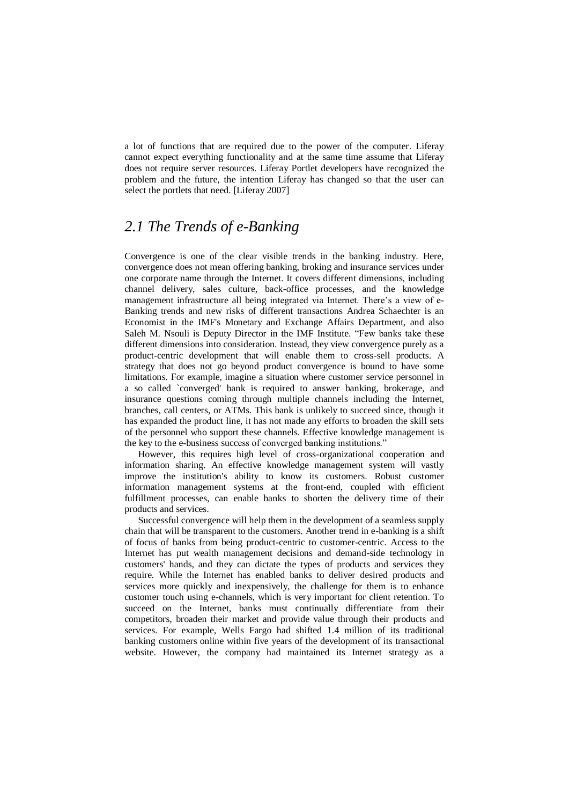a lot of functions that are required due to the power of the computer. Liferay cannot expect everything functionality and at the same time assume that Liferay does not require server resources. Liferay Portlet developers have recognized the problem and the future, the intention Liferay has changed so that the user can select the portlets that need. [Liferay 2007]

## *2.1 The Trends of e-Banking*

Convergence is one of the clear visible trends in the banking industry. Here, convergence does not mean offering banking, broking and insurance services under one corporate name through the Internet. It covers different dimensions, including channel delivery, sales culture, back-office processes, and the knowledge management infrastructure all being integrated via Internet. There's a view of e-Banking trends and new risks of different transactions Andrea Schaechter is an Economist in the IMF's Monetary and Exchange Affairs Department, and also Saleh M. Nsouli is Deputy Director in the IMF Institute. "Few banks take these different dimensions into consideration. Instead, they view convergence purely as a product-centric development that will enable them to cross-sell products. A strategy that does not go beyond product convergence is bound to have some limitations. For example, imagine a situation where customer service personnel in a so called `converged' bank is required to answer banking, brokerage, and insurance questions coming through multiple channels including the Internet, branches, call centers, or ATMs. This bank is unlikely to succeed since, though it has expanded the product line, it has not made any efforts to broaden the skill sets of the personnel who support these channels. Effective knowledge management is the key to the e-business success of converged banking institutions."

However, this requires high level of cross-organizational cooperation and information sharing. An effective knowledge management system will vastly improve the institution's ability to know its customers. Robust customer information management systems at the front-end, coupled with efficient fulfillment processes, can enable banks to shorten the delivery time of their products and services.

Successful convergence will help them in the development of a seamless supply chain that will be transparent to the customers. Another trend in e-banking is a shift of focus of banks from being product-centric to customer-centric. Access to the Internet has put wealth management decisions and demand-side technology in customers' hands, and they can dictate the types of products and services they require. While the Internet has enabled banks to deliver desired products and services more quickly and inexpensively, the challenge for them is to enhance customer touch using e-channels, which is very important for client retention. To succeed on the Internet, banks must continually differentiate from their competitors, broaden their market and provide value through their products and services. For example, Wells Fargo had shifted 1.4 million of its traditional banking customers online within five years of the development of its transactional website. However, the company had maintained its Internet strategy as a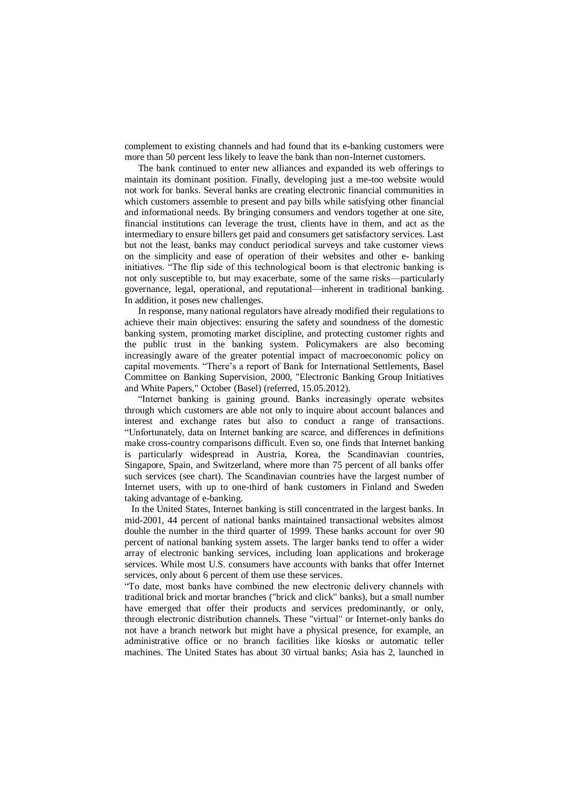complement to existing channels and had found that its e-banking customers were more than 50 percent less likely to leave the bank than non-Internet customers.

The bank continued to enter new alliances and expanded its web offerings to maintain its dominant position. Finally, developing just a me-too website would not work for banks. Several banks are creating electronic financial communities in which customers assemble to present and pay bills while satisfying other financial and informational needs. By bringing consumers and vendors together at one site, financial institutions can leverage the trust, clients have in them, and act as the intermediary to ensure billers get paid and consumers get satisfactory services. Last but not the least, banks may conduct periodical surveys and take customer views on the simplicity and ease of operation of their websites and other e- banking initiatives. "The flip side of this technological boom is that electronic banking is not only susceptible to, but may exacerbate, some of the same risks—particularly governance, legal, operational, and reputational—inherent in traditional banking. In addition, it poses new challenges.

In response, many national regulators have already modified their regulations to achieve their main objectives: ensuring the safety and soundness of the domestic banking system, promoting market discipline, and protecting customer rights and the public trust in the banking system. Policymakers are also becoming increasingly aware of the greater potential impact of macroeconomic policy on capital movements. "There's a report of Bank for International Settlements, Basel Committee on Banking Supervision, 2000, "Electronic Banking Group Initiatives and White Papers," October (Basel) (referred, 15.05.2012).

―Internet banking is gaining ground. Banks increasingly operate websites through which customers are able not only to inquire about account balances and interest and exchange rates but also to conduct a range of transactions. ―Unfortunately, data on Internet banking are scarce, and differences in definitions make cross-country comparisons difficult. Even so, one finds that Internet banking is particularly widespread in Austria, Korea, the Scandinavian countries, Singapore, Spain, and Switzerland, where more than 75 percent of all banks offer such services (see chart). The Scandinavian countries have the largest number of Internet users, with up to one-third of bank customers in Finland and Sweden taking advantage of e-banking.

In the United States, Internet banking is still concentrated in the largest banks. In mid-2001, 44 percent of national banks maintained transactional websites almost double the number in the third quarter of 1999. These banks account for over 90 percent of national banking system assets. The larger banks tend to offer a wider array of electronic banking services, including loan applications and brokerage services. While most U.S. consumers have accounts with banks that offer Internet services, only about 6 percent of them use these services.

―To date, most banks have combined the new electronic delivery channels with traditional brick and mortar branches ("brick and click" banks), but a small number have emerged that offer their products and services predominantly, or only, through electronic distribution channels. These "virtual" or Internet-only banks do not have a branch network but might have a physical presence, for example, an administrative office or no branch facilities like kiosks or automatic teller machines. The United States has about 30 virtual banks; Asia has 2, launched in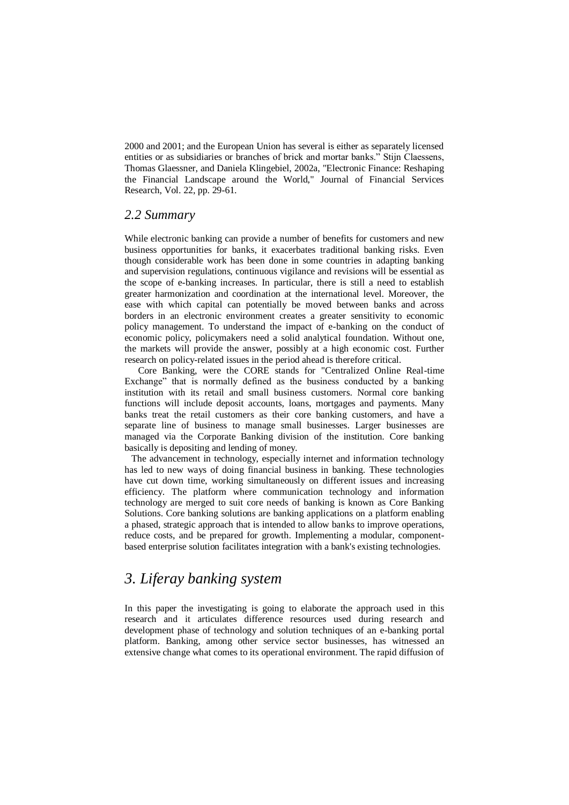2000 and 2001; and the European Union has several is either as separately licensed entities or as subsidiaries or branches of brick and mortar banks." Stijn Claessens, Thomas Glaessner, and Daniela Klingebiel, 2002a, "Electronic Finance: Reshaping the Financial Landscape around the World," Journal of Financial Services Research, Vol. 22, pp. 29-61.

### *2.2 Summary*

While electronic banking can provide a number of benefits for customers and new business opportunities for banks, it exacerbates traditional banking risks. Even though considerable work has been done in some countries in adapting banking and supervision regulations, continuous vigilance and revisions will be essential as the scope of e-banking increases. In particular, there is still a need to establish greater harmonization and coordination at the international level. Moreover, the ease with which capital can potentially be moved between banks and across borders in an electronic environment creates a greater sensitivity to economic policy management. To understand the impact of e-banking on the conduct of economic policy, policymakers need a solid analytical foundation. Without one, the markets will provide the answer, possibly at a high economic cost. Further research on policy-related issues in the period ahead is therefore critical.

Core Banking, were the CORE stands for "Centralized Online Real-time Exchange" that is normally defined as the business conducted by a banking institution with its retail and small business customers. Normal core banking functions will include deposit accounts, loans, mortgages and payments. Many banks treat the retail customers as their core banking customers, and have a separate line of business to manage small businesses. Larger businesses are managed via the Corporate Banking division of the institution. Core banking basically is depositing and lending of money.

The advancement in technology, especially internet and information technology has led to new ways of doing financial business in banking. These technologies have cut down time, working simultaneously on different issues and increasing efficiency. The platform where communication technology and information technology are merged to suit core needs of banking is known as Core Banking Solutions. Core banking solutions are banking applications on a platform enabling a phased, strategic approach that is intended to allow banks to improve operations, reduce costs, and be prepared for growth. Implementing a modular, componentbased enterprise solution facilitates integration with a bank's existing technologies.

# *3. Liferay banking system*

In this paper the investigating is going to elaborate the approach used in this research and it articulates difference resources used during research and development phase of technology and solution techniques of an e-banking portal platform. Banking, among other service sector businesses, has witnessed an extensive change what comes to its operational environment. The rapid diffusion of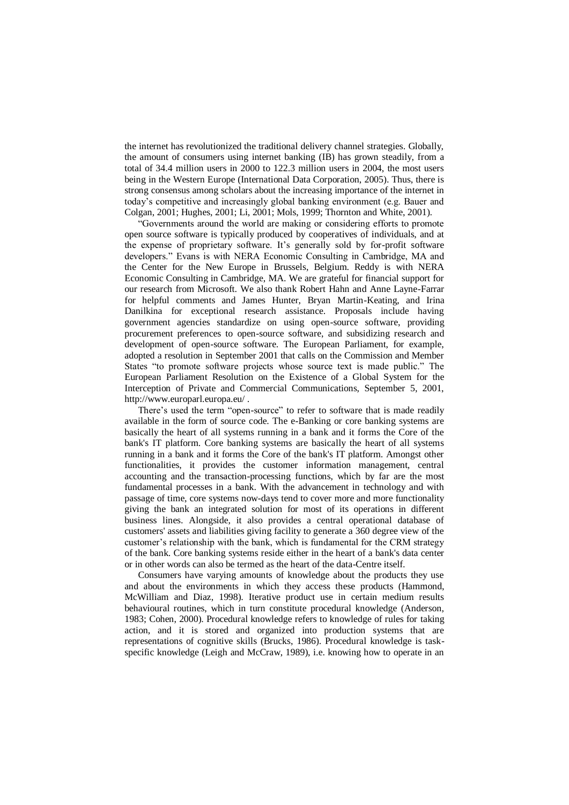the internet has revolutionized the traditional delivery channel strategies. Globally, the amount of consumers using internet banking (IB) has grown steadily, from a total of 34.4 million users in 2000 to 122.3 million users in 2004, the most users being in the Western Europe (International Data Corporation, 2005). Thus, there is strong consensus among scholars about the increasing importance of the internet in today's competitive and increasingly global banking environment (e.g. Bauer and Colgan, 2001; Hughes, 2001; Li, 2001; Mols, 1999; Thornton and White, 2001).

―Governments around the world are making or considering efforts to promote open source software is typically produced by cooperatives of individuals, and at the expense of proprietary software. It's generally sold by for-profit software developers." Evans is with NERA Economic Consulting in Cambridge, MA and the Center for the New Europe in Brussels, Belgium. Reddy is with NERA Economic Consulting in Cambridge, MA. We are grateful for financial support for our research from Microsoft. We also thank Robert Hahn and Anne Layne-Farrar for helpful comments and James Hunter, Bryan Martin-Keating, and Irina Danilkina for exceptional research assistance. Proposals include having government agencies standardize on using open-source software, providing procurement preferences to open-source software, and subsidizing research and development of open-source software. The European Parliament, for example, adopted a resolution in September 2001 that calls on the Commission and Member States "to promote software projects whose source text is made public." The European Parliament Resolution on the Existence of a Global System for the Interception of Private and Commercial Communications, September 5, 2001, http://www.europarl.europa.eu/ .

There's used the term "open-source" to refer to software that is made readily available in the form of source code. The e-Banking or core banking systems are basically the heart of all systems running in a bank and it forms the Core of the bank's IT platform. Core banking systems are basically the heart of all systems running in a bank and it forms the Core of the bank's IT platform. Amongst other functionalities, it provides the customer information management, central accounting and the transaction-processing functions, which by far are the most fundamental processes in a bank. With the advancement in technology and with passage of time, core systems now-days tend to cover more and more functionality giving the bank an integrated solution for most of its operations in different business lines. Alongside, it also provides a central operational database of customers' assets and liabilities giving facility to generate a 360 degree view of the customer's relationship with the bank, which is fundamental for the CRM strategy of the bank. Core banking systems reside either in the heart of a bank's data center or in other words can also be termed as the heart of the data-Centre itself.

Consumers have varying amounts of knowledge about the products they use and about the environments in which they access these products (Hammond, McWilliam and Diaz, 1998). Iterative product use in certain medium results behavioural routines, which in turn constitute procedural knowledge (Anderson, 1983; Cohen, 2000). Procedural knowledge refers to knowledge of rules for taking action, and it is stored and organized into production systems that are representations of cognitive skills (Brucks, 1986). Procedural knowledge is taskspecific knowledge (Leigh and McCraw, 1989), i.e. knowing how to operate in an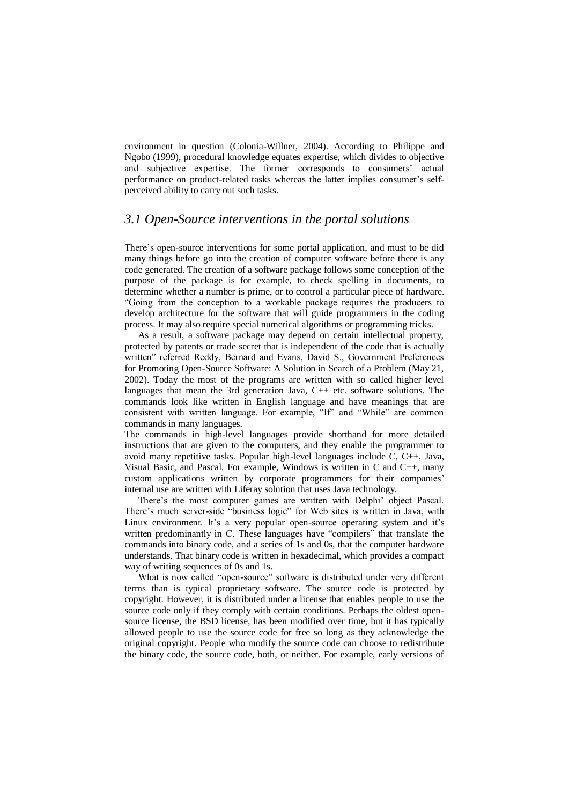environment in question (Colonia-Willner, 2004). According to Philippe and Ngobo (1999), procedural knowledge equates expertise, which divides to objective and subjective expertise. The former corresponds to consumers' actual performance on product-related tasks whereas the latter implies consumer's selfperceived ability to carry out such tasks.

### *3.1 Open-Source interventions in the portal solutions*

There's open-source interventions for some portal application, and must to be did many things before go into the creation of computer software before there is any code generated. The creation of a software package follows some conception of the purpose of the package is for example, to check spelling in documents, to determine whether a number is prime, or to control a particular piece of hardware. ―Going from the conception to a workable package requires the producers to develop architecture for the software that will guide programmers in the coding process. It may also require special numerical algorithms or programming tricks.

As a result, a software package may depend on certain intellectual property, protected by patents or trade secret that is independent of the code that is actually written" referred Reddy, Bernard and Evans, David S., Government Preferences for Promoting Open-Source Software: A Solution in Search of a Problem (May 21, 2002). Today the most of the programs are written with so called higher level languages that mean the 3rd generation Java, C++ etc. software solutions. The commands look like written in English language and have meanings that are consistent with written language. For example, "If" and "While" are common commands in many languages.

The commands in high-level languages provide shorthand for more detailed instructions that are given to the computers, and they enable the programmer to avoid many repetitive tasks. Popular high-level languages include C, C++, Java, Visual Basic, and Pascal. For example, Windows is written in C and C++, many custom applications written by corporate programmers for their companies' internal use are written with Liferay solution that uses Java technology.

There's the most computer games are written with Delphi' object Pascal. There's much server-side "business logic" for Web sites is written in Java, with Linux environment. It's a very popular open-source operating system and it's written predominantly in C. These languages have "compilers" that translate the commands into binary code, and a series of 1s and 0s, that the computer hardware understands. That binary code is written in hexadecimal, which provides a compact way of writing sequences of 0s and 1s.

What is now called "open-source" software is distributed under very different terms than is typical proprietary software. The source code is protected by copyright. However, it is distributed under a license that enables people to use the source code only if they comply with certain conditions. Perhaps the oldest opensource license, the BSD license, has been modified over time, but it has typically allowed people to use the source code for free so long as they acknowledge the original copyright. People who modify the source code can choose to redistribute the binary code, the source code, both, or neither. For example, early versions of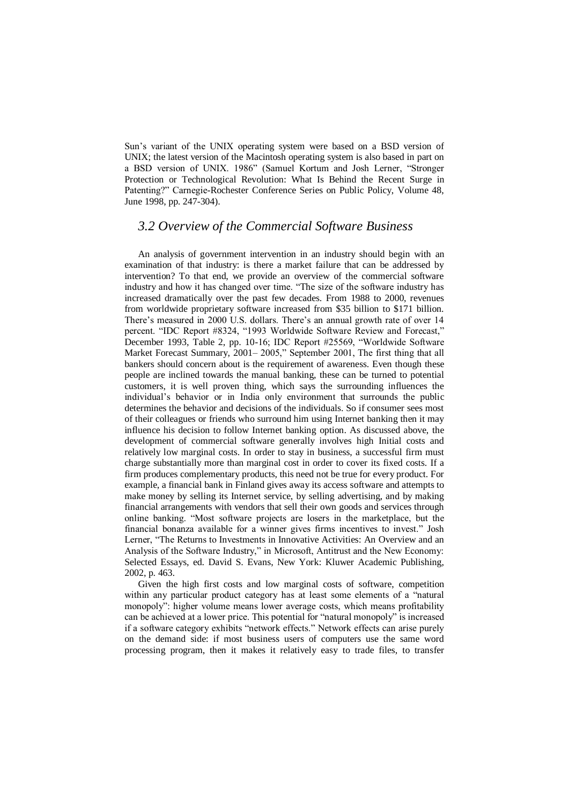Sun's variant of the UNIX operating system were based on a BSD version of UNIX; the latest version of the Macintosh operating system is also based in part on a BSD version of UNIX. 1986" (Samuel Kortum and Josh Lerner, "Stronger Protection or Technological Revolution: What Is Behind the Recent Surge in Patenting?" Carnegie-Rochester Conference Series on Public Policy, Volume 48, June 1998, pp. 247-304).

### *3.2 Overview of the Commercial Software Business*

An analysis of government intervention in an industry should begin with an examination of that industry: is there a market failure that can be addressed by intervention? To that end, we provide an overview of the commercial software industry and how it has changed over time. "The size of the software industry has increased dramatically over the past few decades. From 1988 to 2000, revenues from worldwide proprietary software increased from \$35 billion to \$171 billion. There's measured in 2000 U.S. dollars. There's an annual growth rate of over 14 percent. "IDC Report #8324, "1993 Worldwide Software Review and Forecast," December 1993, Table 2, pp. 10-16; IDC Report #25569, "Worldwide Software Market Forecast Summary, 2001– 2005," September 2001, The first thing that all bankers should concern about is the requirement of awareness. Even though these people are inclined towards the manual banking, these can be turned to potential customers, it is well proven thing, which says the surrounding influences the individual's behavior or in India only environment that surrounds the public determines the behavior and decisions of the individuals. So if consumer sees most of their colleagues or friends who surround him using Internet banking then it may influence his decision to follow Internet banking option. As discussed above, the development of commercial software generally involves high Initial costs and relatively low marginal costs. In order to stay in business, a successful firm must charge substantially more than marginal cost in order to cover its fixed costs. If a firm produces complementary products, this need not be true for every product. For example, a financial bank in Finland gives away its access software and attempts to make money by selling its Internet service, by selling advertising, and by making financial arrangements with vendors that sell their own goods and services through online banking. "Most software projects are losers in the marketplace, but the financial bonanza available for a winner gives firms incentives to invest." Josh Lerner, "The Returns to Investments in Innovative Activities: An Overview and an Analysis of the Software Industry," in Microsoft, Antitrust and the New Economy: Selected Essays, ed. David S. Evans, New York: Kluwer Academic Publishing, 2002, p. 463.

Given the high first costs and low marginal costs of software, competition within any particular product category has at least some elements of a "natural" monopoly": higher volume means lower average costs, which means profitability can be achieved at a lower price. This potential for "natural monopoly" is increased if a software category exhibits "network effects." Network effects can arise purely on the demand side: if most business users of computers use the same word processing program, then it makes it relatively easy to trade files, to transfer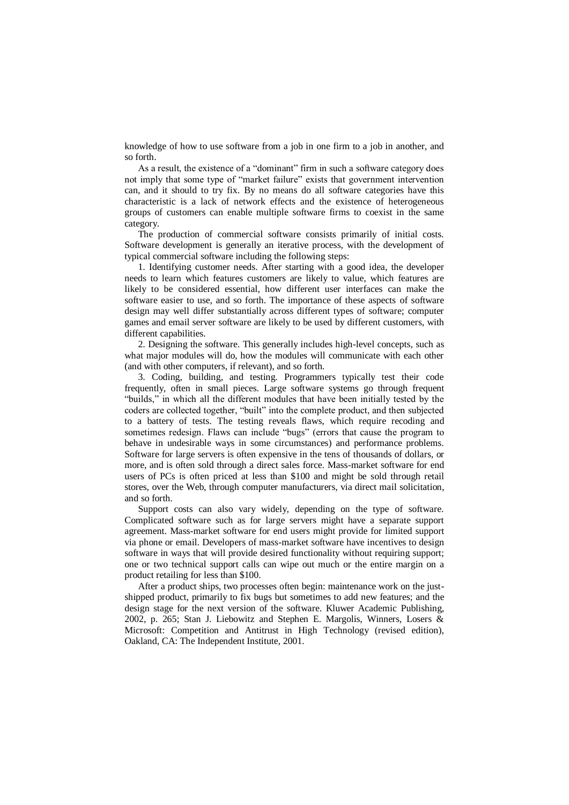knowledge of how to use software from a job in one firm to a job in another, and so forth.

As a result, the existence of a "dominant" firm in such a software category does not imply that some type of "market failure" exists that government intervention can, and it should to try fix. By no means do all software categories have this characteristic is a lack of network effects and the existence of heterogeneous groups of customers can enable multiple software firms to coexist in the same category.

The production of commercial software consists primarily of initial costs. Software development is generally an iterative process, with the development of typical commercial software including the following steps:

1. Identifying customer needs. After starting with a good idea, the developer needs to learn which features customers are likely to value, which features are likely to be considered essential, how different user interfaces can make the software easier to use, and so forth. The importance of these aspects of software design may well differ substantially across different types of software; computer games and email server software are likely to be used by different customers, with different capabilities.

2. Designing the software. This generally includes high-level concepts, such as what major modules will do, how the modules will communicate with each other (and with other computers, if relevant), and so forth.

3. Coding, building, and testing. Programmers typically test their code frequently, often in small pieces. Large software systems go through frequent "builds," in which all the different modules that have been initially tested by the coders are collected together, "built" into the complete product, and then subjected to a battery of tests. The testing reveals flaws, which require recoding and sometimes redesign. Flaws can include "bugs" (errors that cause the program to behave in undesirable ways in some circumstances) and performance problems. Software for large servers is often expensive in the tens of thousands of dollars, or more, and is often sold through a direct sales force. Mass-market software for end users of PCs is often priced at less than \$100 and might be sold through retail stores, over the Web, through computer manufacturers, via direct mail solicitation, and so forth.

Support costs can also vary widely, depending on the type of software. Complicated software such as for large servers might have a separate support agreement. Mass-market software for end users might provide for limited support via phone or email. Developers of mass-market software have incentives to design software in ways that will provide desired functionality without requiring support; one or two technical support calls can wipe out much or the entire margin on a product retailing for less than \$100.

After a product ships, two processes often begin: maintenance work on the justshipped product, primarily to fix bugs but sometimes to add new features; and the design stage for the next version of the software. Kluwer Academic Publishing, 2002, p. 265; Stan J. Liebowitz and Stephen E. Margolis, Winners, Losers & Microsoft: Competition and Antitrust in High Technology (revised edition), Oakland, CA: The Independent Institute, 2001.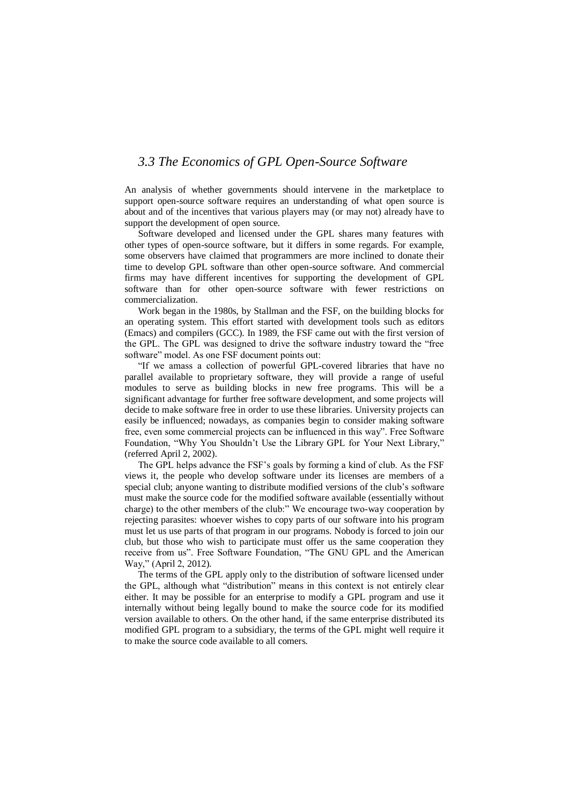### *3.3 The Economics of GPL Open-Source Software*

An analysis of whether governments should intervene in the marketplace to support open-source software requires an understanding of what open source is about and of the incentives that various players may (or may not) already have to support the development of open source.

Software developed and licensed under the GPL shares many features with other types of open-source software, but it differs in some regards. For example, some observers have claimed that programmers are more inclined to donate their time to develop GPL software than other open-source software. And commercial firms may have different incentives for supporting the development of GPL software than for other open-source software with fewer restrictions on commercialization.

Work began in the 1980s, by Stallman and the FSF, on the building blocks for an operating system. This effort started with development tools such as editors (Emacs) and compilers (GCC). In 1989, the FSF came out with the first version of the GPL. The GPL was designed to drive the software industry toward the "free software" model. As one FSF document points out:

"If we amass a collection of powerful GPL-covered libraries that have no parallel available to proprietary software, they will provide a range of useful modules to serve as building blocks in new free programs. This will be a significant advantage for further free software development, and some projects will decide to make software free in order to use these libraries. University projects can easily be influenced; nowadays, as companies begin to consider making software free, even some commercial projects can be influenced in this way‖. Free Software Foundation, "Why You Shouldn't Use the Library GPL for Your Next Library," (referred April 2, 2002).

The GPL helps advance the FSF's goals by forming a kind of club. As the FSF views it, the people who develop software under its licenses are members of a special club; anyone wanting to distribute modified versions of the club's software must make the source code for the modified software available (essentially without charge) to the other members of the club:" We encourage two-way cooperation by rejecting parasites: whoever wishes to copy parts of our software into his program must let us use parts of that program in our programs. Nobody is forced to join our club, but those who wish to participate must offer us the same cooperation they receive from us". Free Software Foundation, "The GNU GPL and the American Way," (April 2, 2012).

The terms of the GPL apply only to the distribution of software licensed under the GPL, although what "distribution" means in this context is not entirely clear either. It may be possible for an enterprise to modify a GPL program and use it internally without being legally bound to make the source code for its modified version available to others. On the other hand, if the same enterprise distributed its modified GPL program to a subsidiary, the terms of the GPL might well require it to make the source code available to all comers.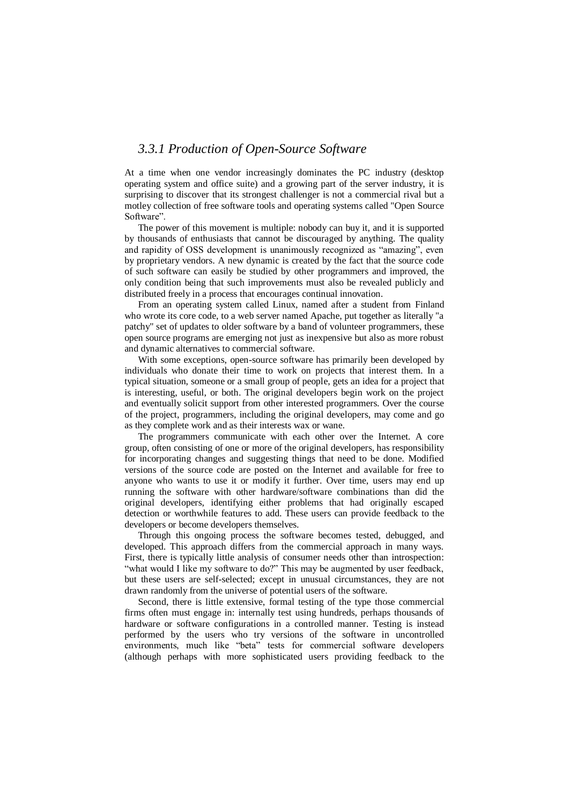### *3.3.1 Production of Open-Source Software*

At a time when one vendor increasingly dominates the PC industry (desktop operating system and office suite) and a growing part of the server industry, it is surprising to discover that its strongest challenger is not a commercial rival but a motley collection of free software tools and operating systems called "Open Source Software".

The power of this movement is multiple: nobody can buy it, and it is supported by thousands of enthusiasts that cannot be discouraged by anything. The quality and rapidity of OSS development is unanimously recognized as "amazing", even by proprietary vendors. A new dynamic is created by the fact that the source code of such software can easily be studied by other programmers and improved, the only condition being that such improvements must also be revealed publicly and distributed freely in a process that encourages continual innovation.

From an operating system called Linux, named after a student from Finland who wrote its core code, to a web server named Apache, put together as literally "a patchy" set of updates to older software by a band of volunteer programmers, these open source programs are emerging not just as inexpensive but also as more robust and dynamic alternatives to commercial software.

With some exceptions, open-source software has primarily been developed by individuals who donate their time to work on projects that interest them. In a typical situation, someone or a small group of people, gets an idea for a project that is interesting, useful, or both. The original developers begin work on the project and eventually solicit support from other interested programmers. Over the course of the project, programmers, including the original developers, may come and go as they complete work and as their interests wax or wane.

The programmers communicate with each other over the Internet. A core group, often consisting of one or more of the original developers, has responsibility for incorporating changes and suggesting things that need to be done. Modified versions of the source code are posted on the Internet and available for free to anyone who wants to use it or modify it further. Over time, users may end up running the software with other hardware/software combinations than did the original developers, identifying either problems that had originally escaped detection or worthwhile features to add. These users can provide feedback to the developers or become developers themselves.

Through this ongoing process the software becomes tested, debugged, and developed. This approach differs from the commercial approach in many ways. First, there is typically little analysis of consumer needs other than introspection: "what would I like my software to do?" This may be augmented by user feedback, but these users are self-selected; except in unusual circumstances, they are not drawn randomly from the universe of potential users of the software.

Second, there is little extensive, formal testing of the type those commercial firms often must engage in: internally test using hundreds, perhaps thousands of hardware or software configurations in a controlled manner. Testing is instead performed by the users who try versions of the software in uncontrolled environments, much like "beta" tests for commercial software developers (although perhaps with more sophisticated users providing feedback to the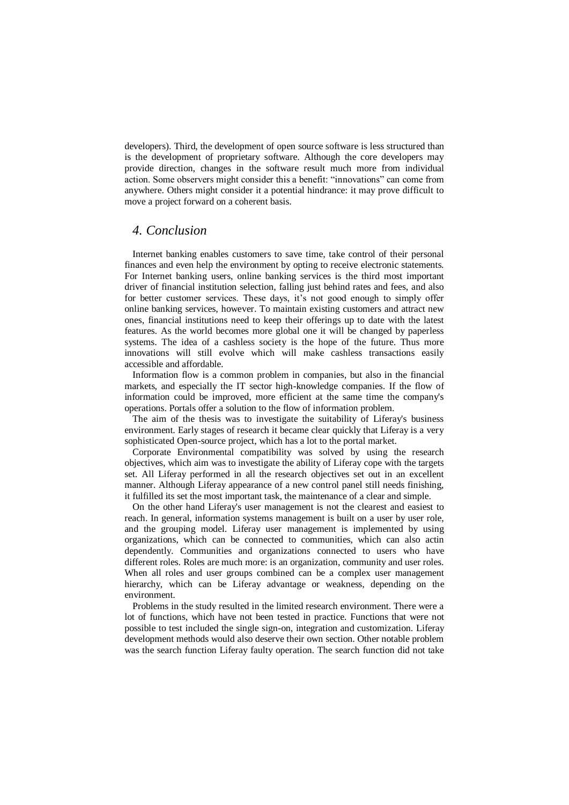developers). Third, the development of open source software is less structured than is the development of proprietary software. Although the core developers may provide direction, changes in the software result much more from individual action. Some observers might consider this a benefit: "innovations" can come from anywhere. Others might consider it a potential hindrance: it may prove difficult to move a project forward on a coherent basis.

#### *4. Conclusion*

Internet banking enables customers to save time, take control of their personal finances and even help the environment by opting to receive electronic statements. For Internet banking users, online banking services is the third most important driver of financial institution selection, falling just behind rates and fees, and also for better customer services. These days, it's not good enough to simply offer online banking services, however. To maintain existing customers and attract new ones, financial institutions need to keep their offerings up to date with the latest features. As the world becomes more global one it will be changed by paperless systems. The idea of a cashless society is the hope of the future. Thus more innovations will still evolve which will make cashless transactions easily accessible and affordable.

Information flow is a common problem in companies, but also in the financial markets, and especially the IT sector high-knowledge companies. If the flow of information could be improved, more efficient at the same time the company's operations. Portals offer a solution to the flow of information problem.

The aim of the thesis was to investigate the suitability of Liferay's business environment. Early stages of research it became clear quickly that Liferay is a very sophisticated Open-source project, which has a lot to the portal market.

Corporate Environmental compatibility was solved by using the research objectives, which aim was to investigate the ability of Liferay cope with the targets set. All Liferay performed in all the research objectives set out in an excellent manner. Although Liferay appearance of a new control panel still needs finishing, it fulfilled its set the most important task, the maintenance of a clear and simple.

On the other hand Liferay's user management is not the clearest and easiest to reach. In general, information systems management is built on a user by user role, and the grouping model. Liferay user management is implemented by using organizations, which can be connected to communities, which can also actin dependently. Communities and organizations connected to users who have different roles. Roles are much more: is an organization, community and user roles. When all roles and user groups combined can be a complex user management hierarchy, which can be Liferay advantage or weakness, depending on the environment.

Problems in the study resulted in the limited research environment. There were a lot of functions, which have not been tested in practice. Functions that were not possible to test included the single sign-on, integration and customization. Liferay development methods would also deserve their own section. Other notable problem was the search function Liferay faulty operation. The search function did not take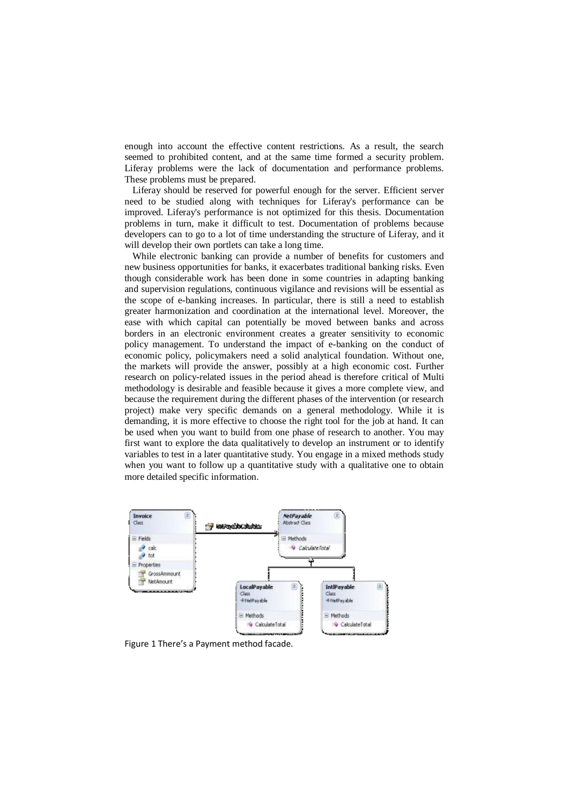enough into account the effective content restrictions. As a result, the search seemed to prohibited content, and at the same time formed a security problem. Liferay problems were the lack of documentation and performance problems. These problems must be prepared.

Liferay should be reserved for powerful enough for the server. Efficient server need to be studied along with techniques for Liferay's performance can be improved. Liferay's performance is not optimized for this thesis. Documentation problems in turn, make it difficult to test. Documentation of problems because developers can to go to a lot of time understanding the structure of Liferay, and it will develop their own portlets can take a long time.

While electronic banking can provide a number of benefits for customers and new business opportunities for banks, it exacerbates traditional banking risks. Even though considerable work has been done in some countries in adapting banking and supervision regulations, continuous vigilance and revisions will be essential as the scope of e-banking increases. In particular, there is still a need to establish greater harmonization and coordination at the international level. Moreover, the ease with which capital can potentially be moved between banks and across borders in an electronic environment creates a greater sensitivity to economic policy management. To understand the impact of e-banking on the conduct of economic policy, policymakers need a solid analytical foundation. Without one, the markets will provide the answer, possibly at a high economic cost. Further research on policy-related issues in the period ahead is therefore critical of Multi methodology is desirable and feasible because it gives a more complete view, and because the requirement during the different phases of the intervention (or research project) make very specific demands on a general methodology. While it is demanding, it is more effective to choose the right tool for the job at hand. It can be used when you want to build from one phase of research to another. You may first want to explore the data qualitatively to develop an instrument or to identify variables to test in a later quantitative study. You engage in a mixed methods study when you want to follow up a quantitative study with a qualitative one to obtain more detailed specific information.



Figure 1 There's a Payment method facade.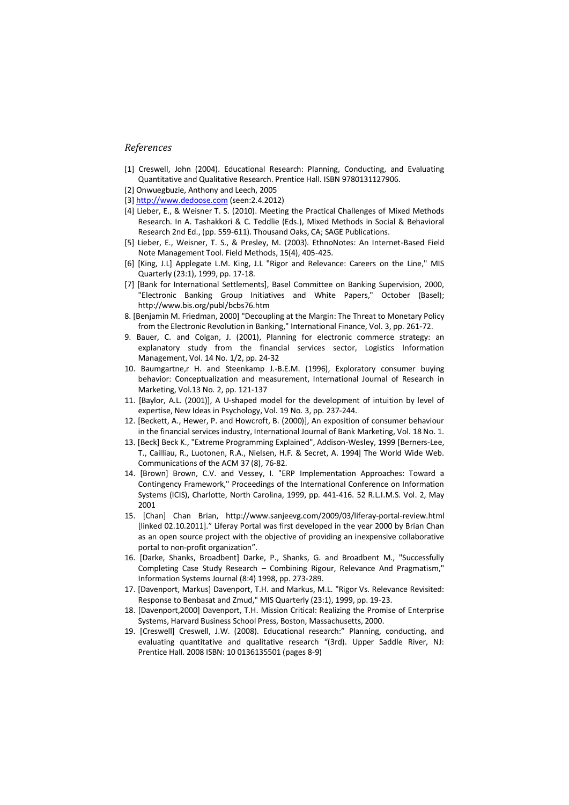#### *References*

- [1] Creswell, John (2004). Educational Research: Planning, Conducting, and Evaluating Quantitative and Qualitative Research. Prentice Hall. ISBN 9780131127906.
- [2] Onwuegbuzie, Anthony and Leech, 2005
- [3[\] http://www.dedoose.com](http://www.dedoose.com/) (seen:2.4.2012)
- [4] Lieber, E., & Weisner T. S. (2010). Meeting the Practical Challenges of Mixed Methods Research. In A. Tashakkori & C. Teddlie (Eds.), Mixed Methods in Social & Behavioral Research 2nd Ed., (pp. 559-611). Thousand Oaks, CA; SAGE Publications.
- [5] Lieber, E., Weisner, T. S., & Presley, M. (2003). EthnoNotes: An Internet-Based Field Note Management Tool. Field Methods, 15(4), 405-425.
- [6] [King, J.L] Applegate L.M. King, J.L "Rigor and Relevance: Careers on the Line," MIS Quarterly (23:1), 1999, pp. 17-18.
- [7] [Bank for International Settlements], Basel Committee on Banking Supervision, 2000, "Electronic Banking Group Initiatives and White Papers," October (Basel); http://www.bis.org/publ/bcbs76.htm
- 8. [Benjamin M. Friedman, 2000] "Decoupling at the Margin: The Threat to Monetary Policy from the Electronic Revolution in Banking," International Finance, Vol. 3, pp. 261-72.
- 9. Bauer, C. and Colgan, J. (2001), Planning for electronic commerce strategy: an explanatory study from the financial services sector, Logistics Information Management, Vol. 14 No. 1/2, pp. 24-32
- 10. Baumgartne,r H. and Steenkamp J.-B.E.M. (1996), Exploratory consumer buying behavior: Conceptualization and measurement, International Journal of Research in Marketing, Vol.13 No. 2, pp. 121-137
- 11. [Baylor, A.L. (2001)], A U-shaped model for the development of intuition by level of expertise, New Ideas in Psychology, Vol. 19 No. 3, pp. 237-244.
- 12. [Beckett, A., Hewer, P. and Howcroft, B. (2000)], An exposition of consumer behaviour in the financial services industry, International Journal of Bank Marketing, Vol. 18 No. 1.
- 13. [Beck] Beck K., "Extreme Programming Explained", Addison-Wesley, 1999 [Berners-Lee, T., Cailliau, R., Luotonen, R.A., Nielsen, H.F. & Secret, A. 1994] The World Wide Web. Communications of the ACM 37 (8), 76-82.
- 14. [Brown] Brown, C.V. and Vessey, I. "ERP Implementation Approaches: Toward a Contingency Framework," Proceedings of the International Conference on Information Systems (ICIS), Charlotte, North Carolina, 1999, pp. 441-416. 52 R.L.I.M.S. Vol. 2, May 2001
- 15. [Chan] Chan Brian, http://www.sanjeevg.com/2009/03/liferay-portal-review.html [linked 02.10.2011]." Liferay Portal was first developed in the year 2000 by Brian Chan as an open source project with the objective of providing an inexpensive collaborative portal to non-profit organization".
- 16. [Darke, Shanks, Broadbent] Darke, P., Shanks, G. and Broadbent M., "Successfully Completing Case Study Research – Combining Rigour, Relevance And Pragmatism," Information Systems Journal (8:4) 1998, pp. 273-289.
- 17. [Davenport, Markus] Davenport, T.H. and Markus, M.L. "Rigor Vs. Relevance Revisited: Response to Benbasat and Zmud," MIS Quarterly (23:1), 1999, pp. 19-23.
- 18. [Davenport,2000] Davenport, T.H. Mission Critical: Realizing the Promise of Enterprise Systems, Harvard Business School Press, Boston, Massachusetts, 2000.
- 19. [Creswell] Creswell, J.W. (2008). Educational research:" Planning, conducting, and evaluating quantitative and qualitative research "(3rd). Upper Saddle River, NJ: Prentice Hall. 2008 ISBN: 10 0136135501 (pages 8-9)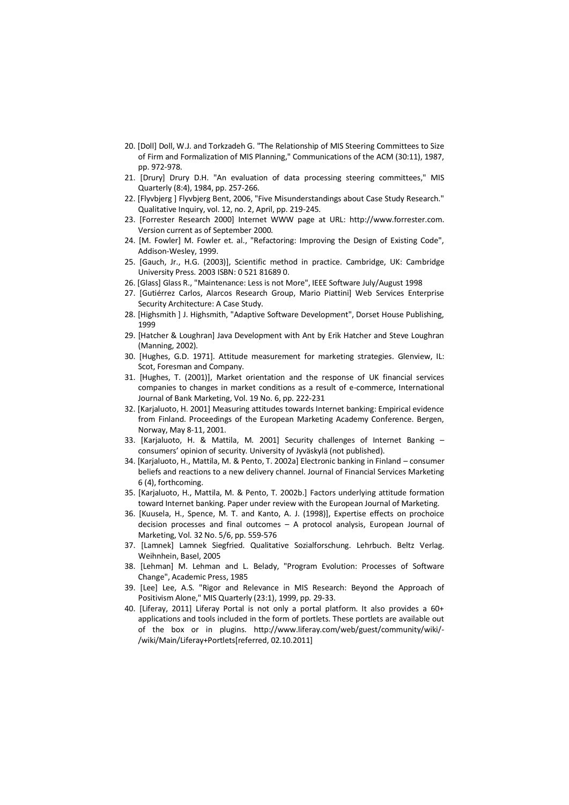- 20. [Doll] Doll, W.J. and Torkzadeh G. "The Relationship of MIS Steering Committees to Size of Firm and Formalization of MIS Planning," Communications of the ACM (30:11), 1987, pp. 972-978.
- 21. [Drury] Drury D.H. "An evaluation of data processing steering committees," MIS Quarterly (8:4), 1984, pp. 257-266.
- 22. [Flyvbjerg ] Flyvbjerg Bent, 2006, "Five Misunderstandings about Case Study Research." Qualitative Inquiry, vol. 12, no. 2, April, pp. 219-245.
- 23. [Forrester Research 2000] Internet WWW page at URL: http://www.forrester.com. Version current as of September 2000.
- 24. [M. Fowler] M. Fowler et. al., "Refactoring: Improving the Design of Existing Code", Addison-Wesley, 1999.
- 25. [Gauch, Jr., H.G. (2003)], Scientific method in practice. Cambridge, UK: Cambridge University Press. 2003 ISBN: 0 521 81689 0.
- 26. [Glass] Glass R., "Maintenance: Less is not More", IEEE Software July/August 1998
- 27. [Gutiérrez Carlos, Alarcos Research Group, Mario Piattini] Web Services Enterprise Security Architecture: A Case Study.
- 28. [Highsmith ] J. Highsmith, "Adaptive Software Development", Dorset House Publishing, 1999
- 29. [Hatcher & Loughran] Java Development with Ant by Erik Hatcher and Steve Loughran (Manning, 2002).
- 30. [Hughes, G.D. 1971]. Attitude measurement for marketing strategies. Glenview, IL: Scot, Foresman and Company.
- 31. [Hughes, T. (2001)], Market orientation and the response of UK financial services companies to changes in market conditions as a result of e-commerce, International Journal of Bank Marketing, Vol. 19 No. 6, pp. 222-231
- 32. [Karjaluoto, H. 2001] Measuring attitudes towards Internet banking: Empirical evidence from Finland. Proceedings of the European Marketing Academy Conference. Bergen, Norway, May 8-11, 2001.
- 33. [Karjaluoto, H. & Mattila, M. 2001] Security challenges of Internet Banking consumers' opinion of security. University of Jyväskylä (not published).
- 34. [Karjaluoto, H., Mattila, M. & Pento, T. 2002a] Electronic banking in Finland consumer beliefs and reactions to a new delivery channel. Journal of Financial Services Marketing 6 (4), forthcoming.
- 35. [Karjaluoto, H., Mattila, M. & Pento, T. 2002b.] Factors underlying attitude formation toward Internet banking. Paper under review with the European Journal of Marketing.
- 36. [Kuusela, H., Spence, M. T. and Kanto, A. J. (1998)], Expertise effects on prochoice decision processes and final outcomes – A protocol analysis, European Journal of Marketing, Vol. 32 No. 5/6, pp. 559-576
- 37. [Lamnek] Lamnek Siegfried. Qualitative Sozialforschung. Lehrbuch. Beltz Verlag. Weihnhein, Basel, 2005
- 38. [Lehman] M. Lehman and L. Belady, "Program Evolution: Processes of Software Change", Academic Press, 1985
- 39. [Lee] Lee, A.S. "Rigor and Relevance in MIS Research: Beyond the Approach of Positivism Alone," MIS Quarterly (23:1), 1999, pp. 29-33.
- 40. [Liferay, 2011] Liferay Portal is not only a portal platform. It also provides a 60+ applications and tools included in the form of portlets. These portlets are available out of the box or in plugins. http://www.liferay.com/web/guest/community/wiki/- /wiki/Main/Liferay+Portlets[referred, 02.10.2011]